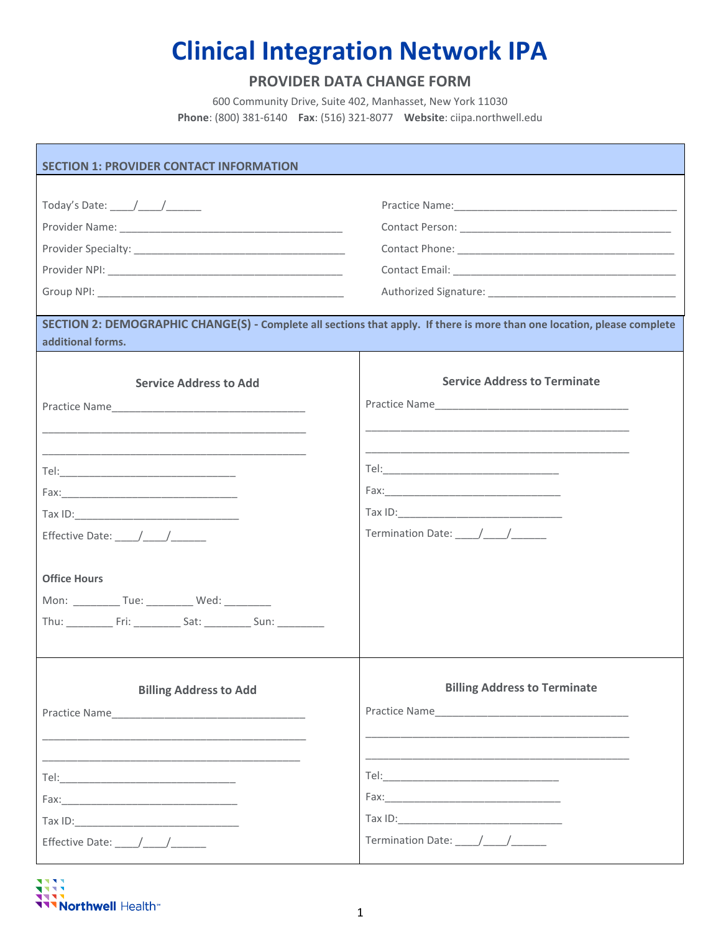## **Clinical Integration Network IPA**

## **PROVIDER DATA CHANGE FORM**

600 Community Drive, Suite 402, Manhasset, New York 11030 **Phone**: (800) 381-6140 **Fax**: (516) 321-8077 **Website**: ciipa.northwell.edu

| <b>SECTION 1: PROVIDER CONTACT INFORMATION</b>                                                                                                |                                     |  |  |  |  |
|-----------------------------------------------------------------------------------------------------------------------------------------------|-------------------------------------|--|--|--|--|
|                                                                                                                                               |                                     |  |  |  |  |
| Today's Date: _____/_____/_______                                                                                                             |                                     |  |  |  |  |
|                                                                                                                                               |                                     |  |  |  |  |
|                                                                                                                                               |                                     |  |  |  |  |
|                                                                                                                                               |                                     |  |  |  |  |
|                                                                                                                                               |                                     |  |  |  |  |
| SECTION 2: DEMOGRAPHIC CHANGE(S) - Complete all sections that apply. If there is more than one location, please complete<br>additional forms. |                                     |  |  |  |  |
|                                                                                                                                               |                                     |  |  |  |  |
| <b>Service Address to Add</b>                                                                                                                 | <b>Service Address to Terminate</b> |  |  |  |  |
|                                                                                                                                               |                                     |  |  |  |  |
|                                                                                                                                               |                                     |  |  |  |  |
|                                                                                                                                               |                                     |  |  |  |  |
|                                                                                                                                               |                                     |  |  |  |  |
|                                                                                                                                               |                                     |  |  |  |  |
|                                                                                                                                               | Termination Date: / /               |  |  |  |  |
|                                                                                                                                               |                                     |  |  |  |  |
| <b>Office Hours</b>                                                                                                                           |                                     |  |  |  |  |
| Mon: ____________ Tue: ___________ Wed: _________                                                                                             |                                     |  |  |  |  |
| Thu: Fri: Sat: Sat: Sun:                                                                                                                      |                                     |  |  |  |  |
|                                                                                                                                               |                                     |  |  |  |  |
|                                                                                                                                               |                                     |  |  |  |  |
| <b>Billing Address to Add</b>                                                                                                                 | <b>Billing Address to Terminate</b> |  |  |  |  |
|                                                                                                                                               |                                     |  |  |  |  |
|                                                                                                                                               |                                     |  |  |  |  |
|                                                                                                                                               |                                     |  |  |  |  |
|                                                                                                                                               |                                     |  |  |  |  |
|                                                                                                                                               |                                     |  |  |  |  |
|                                                                                                                                               |                                     |  |  |  |  |
|                                                                                                                                               | Termination Date: \[ \]             |  |  |  |  |
|                                                                                                                                               |                                     |  |  |  |  |